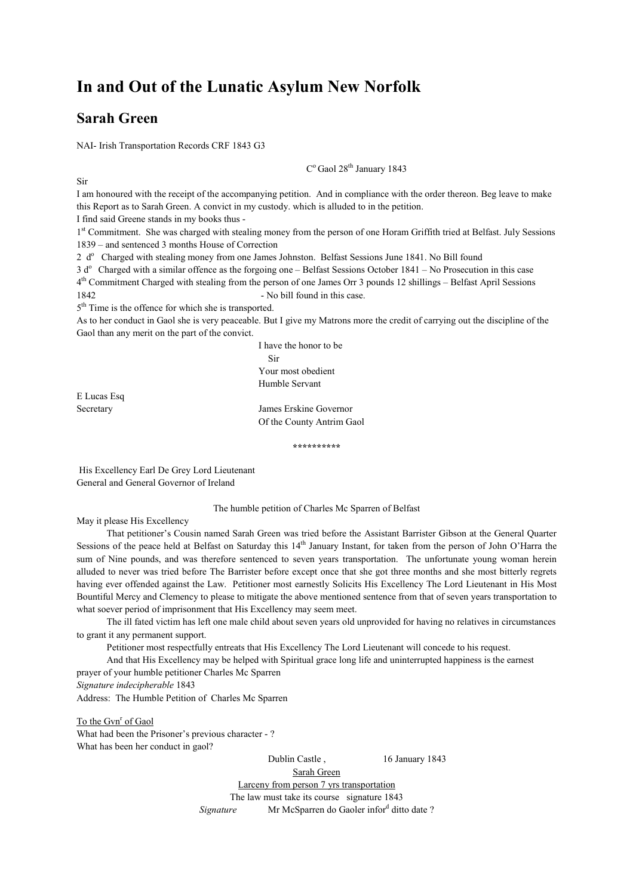# In and Out of the Lunatic Asylum New Norfolk

### Sarah Green

Sir

NAI- Irish Transportation Records CRF 1843 G3

C<sup>o</sup> Gaol 28<sup>th</sup> January 1843

I am honoured with the receipt of the accompanying petition. And in compliance with the order thereon. Beg leave to make this Report as to Sarah Green. A convict in my custody. which is alluded to in the petition.

I find said Greene stands in my books thus -

1<sup>st</sup> Commitment. She was charged with stealing money from the person of one Horam Griffith tried at Belfast. July Sessions 1839 – and sentenced 3 months House of Correction

2 d<sup>o</sup> Charged with stealing money from one James Johnston. Belfast Sessions June 1841. No Bill found

 $3 d<sup>o</sup>$  Charged with a similar offence as the forgoing one – Belfast Sessions October 1841 – No Prosecution in this case 4<sup>th</sup> Commitment Charged with stealing from the person of one James Orr 3 pounds 12 shillings – Belfast April Sessions 1842 - No bill found in this case.

5<sup>th</sup> Time is the offence for which she is transported.

As to her conduct in Gaol she is very peaceable. But I give my Matrons more the credit of carrying out the discipline of the Gaol than any merit on the part of the convict.

> I have the honor to be Sir Your most obedient Humble Servant

E Lucas Esq

Secretary James Erskine Governor Of the County Antrim Gaol

\*\*\*\*\*\*\*\*\*\*

His Excellency Earl De Grey Lord Lieutenant General and General Governor of Ireland

#### The humble petition of Charles Mc Sparren of Belfast

May it please His Excellency

 That petitioner's Cousin named Sarah Green was tried before the Assistant Barrister Gibson at the General Quarter Sessions of the peace held at Belfast on Saturday this  $14<sup>th</sup>$  January Instant, for taken from the person of John O'Harra the sum of Nine pounds, and was therefore sentenced to seven years transportation. The unfortunate young woman herein alluded to never was tried before The Barrister before except once that she got three months and she most bitterly regrets having ever offended against the Law. Petitioner most earnestly Solicits His Excellency The Lord Lieutenant in His Most Bountiful Mercy and Clemency to please to mitigate the above mentioned sentence from that of seven years transportation to what soever period of imprisonment that His Excellency may seem meet.

 The ill fated victim has left one male child about seven years old unprovided for having no relatives in circumstances to grant it any permanent support.

Petitioner most respectfully entreats that His Excellency The Lord Lieutenant will concede to his request.

 And that His Excellency may be helped with Spiritual grace long life and uninterrupted happiness is the earnest prayer of your humble petitioner Charles Mc Sparren

Signature indecipherable 1843

Address: The Humble Petition of Charles Mc Sparren

To the Gvn<sup>r</sup> of Gaol What had been the Prisoner's previous character - ? What has been her conduct in gaol?

Dublin Castle, 16 January 1843

Sarah Green

Larceny from person 7 yrs transportation The law must take its course signature 1843

Signature Mr McSparren do Gaoler infor<sup>d</sup> ditto date?